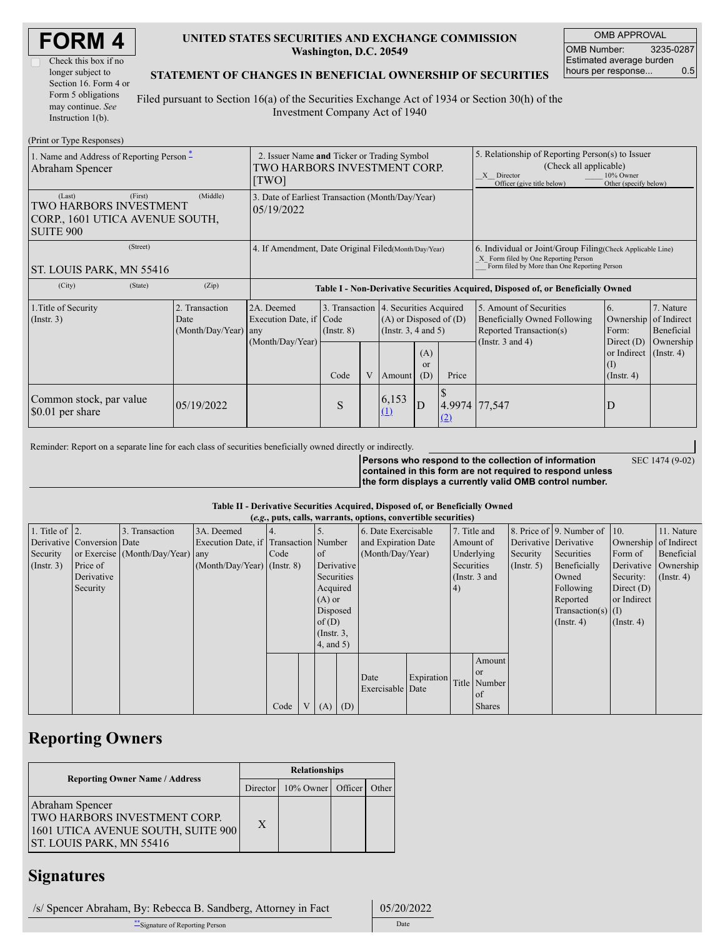| <b>FORM4</b> |  |
|--------------|--|
|--------------|--|

| Check this box if no  |
|-----------------------|
| longer subject to     |
| Section 16. Form 4 or |
| Form 5 obligations    |
| may continue. See     |
| Instruction 1(b).     |

### **UNITED STATES SECURITIES AND EXCHANGE COMMISSION Washington, D.C. 20549**

OMB APPROVAL OMB Number: 3235-0287 Estimated average burden hours per response... 0.5

SEC 1474 (9-02)

### **STATEMENT OF CHANGES IN BENEFICIAL OWNERSHIP OF SECURITIES**

Filed pursuant to Section 16(a) of the Securities Exchange Act of 1934 or Section 30(h) of the Investment Company Act of 1940

| (Print or Type Responses)                                                                          |                                                                                      |                                                                  |                         |   |                                                                                                                                        |                                                                                                                                                    |                                                                                                                                                              |                                                                                                             |                                                                                                           |                                                          |
|----------------------------------------------------------------------------------------------------|--------------------------------------------------------------------------------------|------------------------------------------------------------------|-------------------------|---|----------------------------------------------------------------------------------------------------------------------------------------|----------------------------------------------------------------------------------------------------------------------------------------------------|--------------------------------------------------------------------------------------------------------------------------------------------------------------|-------------------------------------------------------------------------------------------------------------|-----------------------------------------------------------------------------------------------------------|----------------------------------------------------------|
| 1. Name and Address of Reporting Person $*$<br>Abraham Spencer                                     | 2. Issuer Name and Ticker or Trading Symbol<br>TWO HARBORS INVESTMENT CORP.<br>[TWO] |                                                                  |                         |   |                                                                                                                                        |                                                                                                                                                    | 5. Relationship of Reporting Person(s) to Issuer<br>(Check all applicable)<br>10% Owner<br>X Director<br>Officer (give title below)<br>Other (specify below) |                                                                                                             |                                                                                                           |                                                          |
| (Last)<br>(First)<br>TWO HARBORS INVESTMENT<br>CORP., 1601 UTICA AVENUE SOUTH,<br><b>SUITE 900</b> | 3. Date of Earliest Transaction (Month/Day/Year)<br>05/19/2022                       |                                                                  |                         |   |                                                                                                                                        |                                                                                                                                                    |                                                                                                                                                              |                                                                                                             |                                                                                                           |                                                          |
| (Street)<br>ST. LOUIS PARK, MN 55416                                                               | 4. If Amendment, Date Original Filed (Month/Day/Year)                                |                                                                  |                         |   |                                                                                                                                        | 6. Individual or Joint/Group Filing Check Applicable Line)<br>X Form filed by One Reporting Person<br>Form filed by More than One Reporting Person |                                                                                                                                                              |                                                                                                             |                                                                                                           |                                                          |
| (City)<br>(State)                                                                                  | (Zip)                                                                                |                                                                  |                         |   |                                                                                                                                        |                                                                                                                                                    |                                                                                                                                                              | Table I - Non-Derivative Securities Acquired, Disposed of, or Beneficially Owned                            |                                                                                                           |                                                          |
| 1. Title of Security<br>(Insert. 3)                                                                | 2. Transaction<br>Date<br>(Month/Day/Year)                                           | 2A. Deemed<br>Execution Date, if Code<br>any<br>(Month/Day/Year) | $($ Instr. $8)$<br>Code | V | 3. Transaction 4. Securities Acquired<br>$(A)$ or Disposed of $(D)$<br>(Instr. $3, 4$ and $5$ )<br>(A)<br>or<br>(D)<br>Price<br>Amount |                                                                                                                                                    |                                                                                                                                                              | 5. Amount of Securities<br>Beneficially Owned Following<br>Reported Transaction(s)<br>(Instr. $3$ and $4$ ) | <sup>6.</sup><br>Ownership of Indirect<br>Form:<br>Direct $(D)$<br>or Indirect<br>(I)<br>$($ Instr. 4 $)$ | 7. Nature<br>Beneficial<br>Ownership<br>$($ Instr. 4 $)$ |
| Common stock, par value<br>\$0.01 per share                                                        | 05/19/2022                                                                           |                                                                  | S                       |   | 6,153<br>(1)                                                                                                                           | $\mathbf{D}$                                                                                                                                       | 4.9974 77,547<br>(2)                                                                                                                                         |                                                                                                             | D                                                                                                         |                                                          |

Reminder: Report on a separate line for each class of securities beneficially owned directly or indirectly.

**Persons who respond to the collection of information contained in this form are not required to respond unless the form displays a currently valid OMB control number.**

#### **Table II - Derivative Securities Acquired, Disposed of, or Beneficially Owned**

| (e.g., puts, calls, warrants, options, convertible securities) |                            |                                  |                                       |      |                |                 |                     |                     |            |            |                       |                  |                          |               |                      |
|----------------------------------------------------------------|----------------------------|----------------------------------|---------------------------------------|------|----------------|-----------------|---------------------|---------------------|------------|------------|-----------------------|------------------|--------------------------|---------------|----------------------|
| 1. Title of $ 2$ .                                             |                            | 3. Transaction                   | 3A. Deemed                            |      |                |                 |                     | 6. Date Exercisable |            |            | 7. Title and          |                  | 8. Price of 9. Number of | 10.           | 11. Nature           |
|                                                                | Derivative Conversion Date |                                  | Execution Date, if Transaction Number |      |                |                 | and Expiration Date |                     | Amount of  |            | Derivative Derivative |                  | Ownership of Indirect    |               |                      |
| Security                                                       |                            | or Exercise (Month/Day/Year) any |                                       | Code |                | <sub>of</sub>   |                     | (Month/Day/Year)    |            |            | Underlying            | Security         | Securities               | Form of       | Beneficial           |
| (Instr. 3)                                                     | Price of                   |                                  | $(Month/Day/Year)$ (Instr. 8)         |      |                |                 | Derivative          |                     |            | Securities |                       | $($ Instr. 5 $)$ | Beneficially             |               | Derivative Ownership |
|                                                                | Derivative                 |                                  |                                       |      |                | Securities      |                     |                     |            |            | (Instr. $3$ and       |                  | Owned                    | Security:     | $($ Instr. 4)        |
|                                                                | Security                   |                                  |                                       |      |                | Acquired        |                     |                     |            | 4)         |                       |                  | Following                | Direct $(D)$  |                      |
|                                                                |                            |                                  |                                       |      |                | $(A)$ or        |                     |                     |            |            |                       |                  | Reported                 | or Indirect   |                      |
|                                                                |                            |                                  |                                       |      |                | Disposed        |                     |                     |            |            |                       |                  | $Transaction(s)$ (I)     |               |                      |
|                                                                |                            |                                  |                                       |      |                | of $(D)$        |                     |                     |            |            |                       |                  | $($ Instr. 4 $)$         | $($ Instr. 4) |                      |
|                                                                |                            |                                  |                                       |      |                | $($ Instr. $3,$ |                     |                     |            |            |                       |                  |                          |               |                      |
|                                                                |                            |                                  |                                       |      |                |                 | $4$ , and 5)        |                     |            |            |                       |                  |                          |               |                      |
|                                                                |                            |                                  |                                       |      |                |                 |                     |                     |            |            | Amount                |                  |                          |               |                      |
|                                                                |                            |                                  |                                       |      |                |                 |                     |                     |            |            | <sub>or</sub>         |                  |                          |               |                      |
|                                                                |                            |                                  |                                       |      |                |                 |                     | Date                | Expiration |            | Title Number          |                  |                          |               |                      |
|                                                                |                            |                                  |                                       |      |                |                 |                     | Exercisable Date    |            |            | of                    |                  |                          |               |                      |
|                                                                |                            |                                  |                                       | Code | V <sub>1</sub> | $(A)$ $(D)$     |                     |                     |            |            | <b>Shares</b>         |                  |                          |               |                      |

## **Reporting Owners**

|                                                                                                                                 | <b>Relationships</b> |                                        |  |  |  |  |  |
|---------------------------------------------------------------------------------------------------------------------------------|----------------------|----------------------------------------|--|--|--|--|--|
| <b>Reporting Owner Name / Address</b>                                                                                           |                      | Director   10% Owner   Officer   Other |  |  |  |  |  |
| Abraham Spencer<br><b>TWO HARBORS INVESTMENT CORP.</b><br>1601 UTICA AVENUE SOUTH, SUITE 900<br><b>ST. LOUIS PARK, MN 55416</b> | X                    |                                        |  |  |  |  |  |

### **Signatures**

 /s/ Spencer Abraham, By: Rebecca B. Sandberg, Attorney in Fact 05/20/2022 \*\*Signature of Reporting Person Date